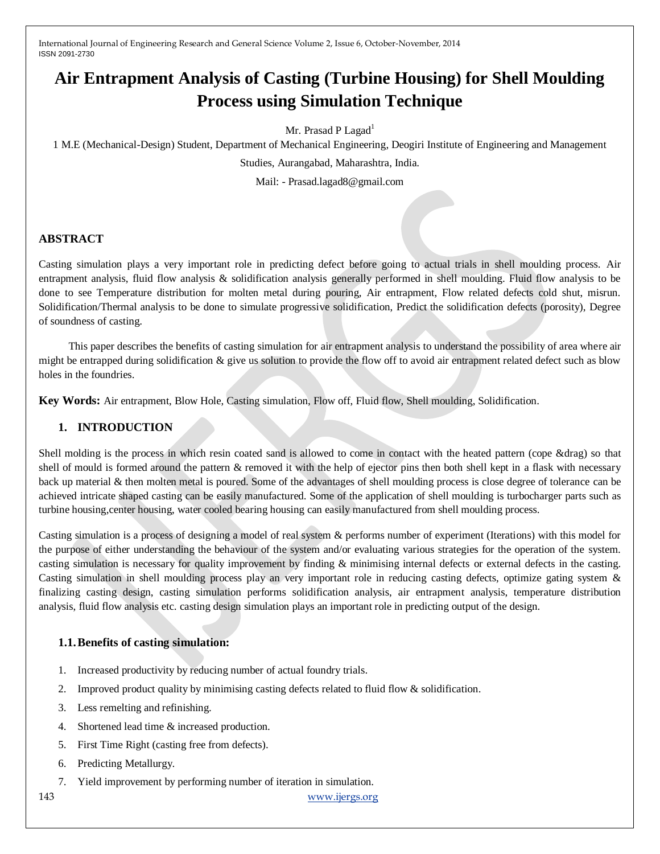# **Air Entrapment Analysis of Casting (Turbine Housing) for Shell Moulding Process using Simulation Technique**

Mr. Prasad P Lagad<sup>1</sup>

1 M.E (Mechanical-Design) Student, Department of Mechanical Engineering, Deogiri Institute of Engineering and Management

Studies, Aurangabad, Maharashtra, India.

Mail: - Prasad.lagad8@gmail.com

## **ABSTRACT**

Casting simulation plays a very important role in predicting defect before going to actual trials in shell moulding process. Air entrapment analysis, fluid flow analysis & solidification analysis generally performed in shell moulding. Fluid flow analysis to be done to see Temperature distribution for molten metal during pouring, Air entrapment, Flow related defects cold shut, misrun. Solidification/Thermal analysis to be done to simulate progressive solidification, Predict the solidification defects (porosity), Degree of soundness of casting.

 This paper describes the benefits of casting simulation for air entrapment analysis to understand the possibility of area where air might be entrapped during solidification & give us solution to provide the flow off to avoid air entrapment related defect such as blow holes in the foundries.

**Key Words:** Air entrapment, Blow Hole, Casting simulation, Flow off, Fluid flow, Shell moulding, Solidification.

# **1. INTRODUCTION**

Shell molding is the process in which resin coated sand is allowed to come in contact with the heated pattern (cope &drag) so that shell of mould is formed around the pattern & removed it with the help of ejector pins then both shell kept in a flask with necessary back up material & then molten metal is poured. Some of the advantages of shell moulding process is close degree of tolerance can be achieved intricate shaped casting can be easily manufactured. Some of the application of shell moulding is turbocharger parts such as turbine housing,center housing, water cooled bearing housing can easily manufactured from shell moulding process.

Casting simulation is a process of designing a model of real system & performs number of experiment (Iterations) with this model for the purpose of either understanding the behaviour of the system and/or evaluating various strategies for the operation of the system. casting simulation is necessary for quality improvement by finding & minimising internal defects or external defects in the casting. Casting simulation in shell moulding process play an very important role in reducing casting defects, optimize gating system & finalizing casting design, casting simulation performs solidification analysis, air entrapment analysis, temperature distribution analysis, fluid flow analysis etc. casting design simulation plays an important role in predicting output of the design.

## **1.1.Benefits of casting simulation:**

- 1. Increased productivity by reducing number of actual foundry trials.
- 2. Improved product quality by minimising casting defects related to fluid flow & solidification.
- 3. Less remelting and refinishing.
- 4. Shortened lead time & increased production.
- 5. First Time Right (casting free from defects).
- 6. Predicting Metallurgy.
- 7. Yield improvement by performing number of iteration in simulation.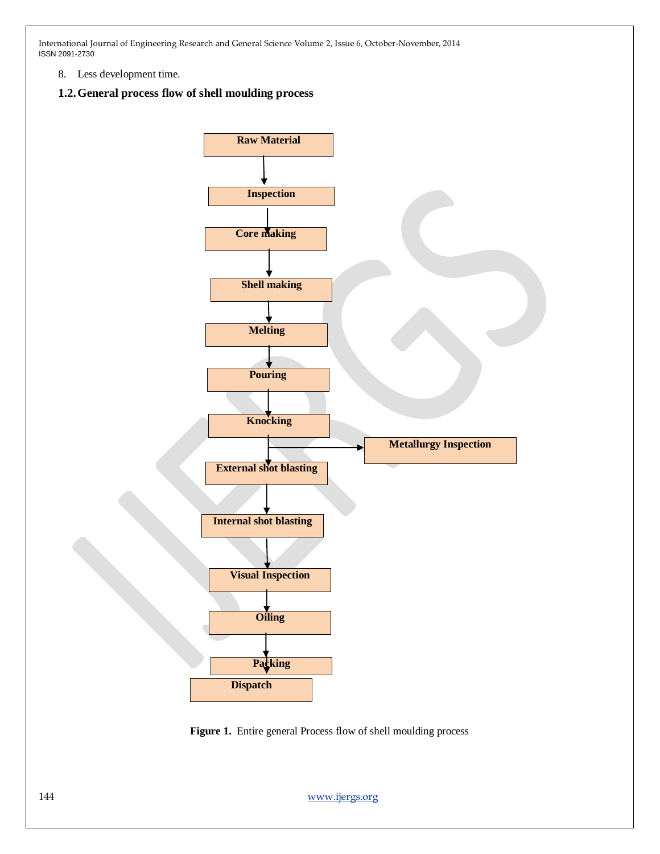8. Less development time.

#### **1.2.General process flow of shell moulding process**



Figure 1. Entire general Process flow of shell moulding process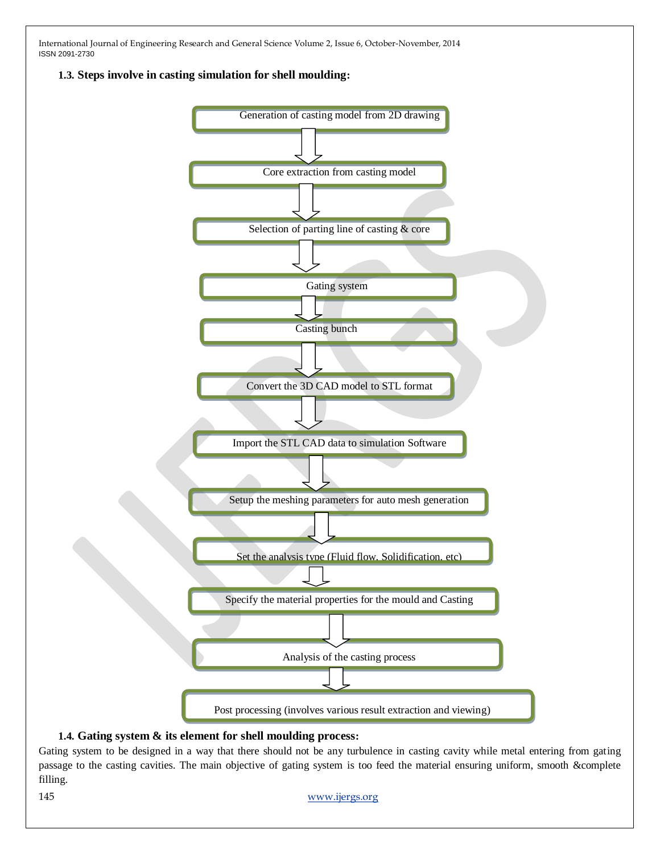**1.3. Steps involve in casting simulation for shell moulding:**



# **1.4. Gating system & its element for shell moulding process:**

Gating system to be designed in a way that there should not be any turbulence in casting cavity while metal entering from gating passage to the casting cavities. The main objective of gating system is too feed the material ensuring uniform, smooth &complete filling.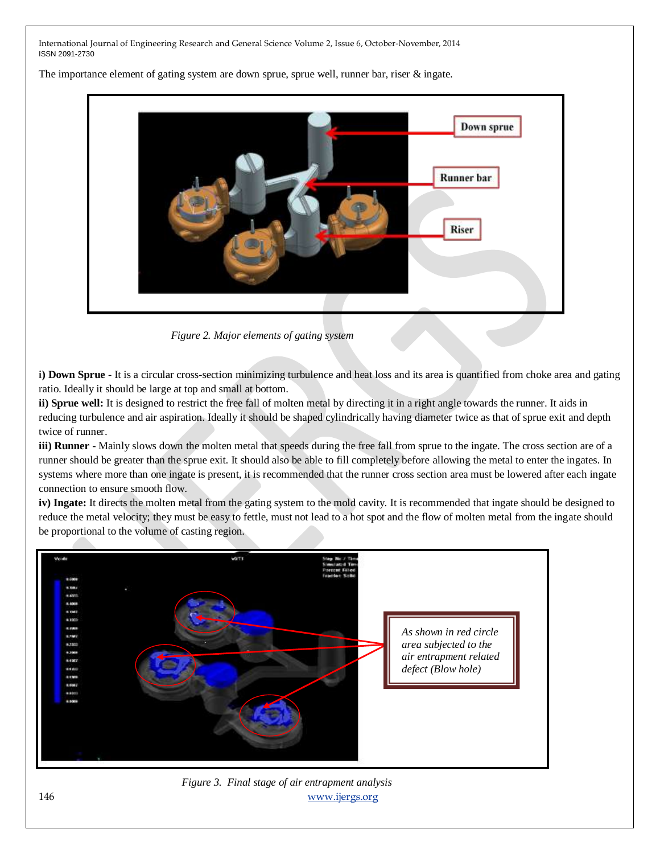The importance element of gating system are down sprue, sprue well, runner bar, riser & ingate.



 *Figure 2. Major elements of gating system*

**i) Down Sprue** - It is a circular cross-section minimizing turbulence and heat loss and its area is quantified from choke area and gating ratio. Ideally it should be large at top and small at bottom.

ii) Sprue well: It is designed to restrict the free fall of molten metal by directing it in a right angle towards the runner. It aids in reducing turbulence and air aspiration. Ideally it should be shaped cylindrically having diameter twice as that of sprue exit and depth twice of runner.

**iii) Runner** - Mainly slows down the molten metal that speeds during the free fall from sprue to the ingate. The cross section are of a runner should be greater than the sprue exit. It should also be able to fill completely before allowing the metal to enter the ingates. In systems where more than one ingate is present, it is recommended that the runner cross section area must be lowered after each ingate connection to ensure smooth flow.

**iv) Ingate:** It directs the molten metal from the gating system to the mold cavity. It is recommended that ingate should be designed to reduce the metal velocity; they must be easy to fettle, must not lead to a hot spot and the flow of molten metal from the ingate should be proportional to the volume of casting region.



146 [www.ijergs.org](http://www.ijergs.org/)  *Figure 3. Final stage of air entrapment analysis*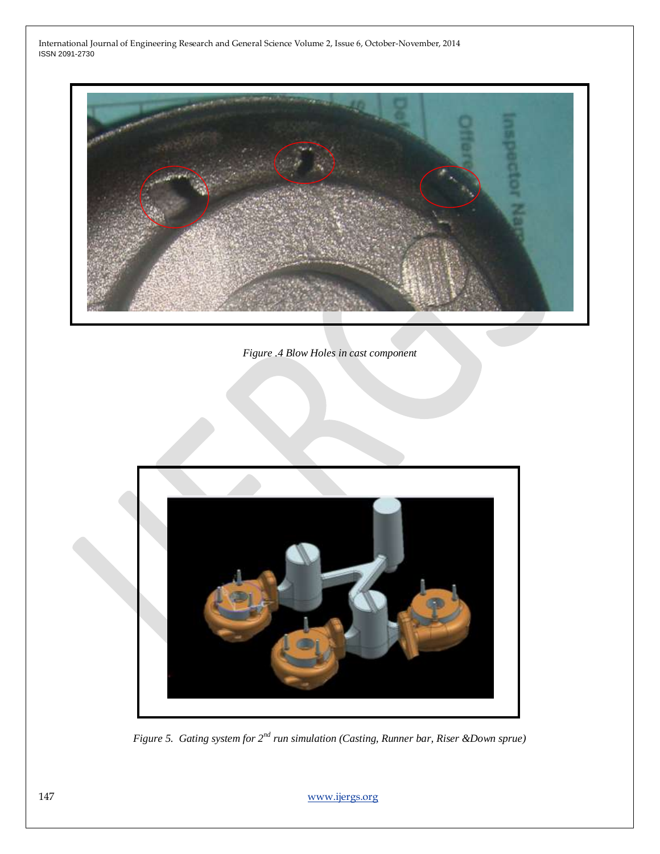

*Figure .4 Blow Holes in cast component*



*Figure 5. Gating system for 2nd run simulation (Casting, Runner bar, Riser &Down sprue)*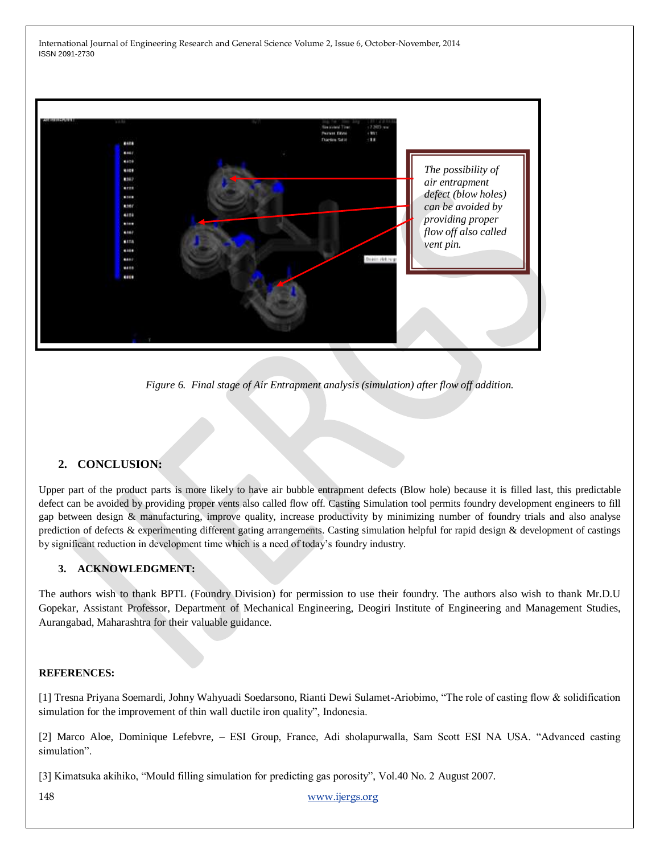

*Figure 6. Final stage of Air Entrapment analysis (simulation) after flow off addition.*

# **2. CONCLUSION:**

Upper part of the product parts is more likely to have air bubble entrapment defects (Blow hole) because it is filled last, this predictable defect can be avoided by providing proper vents also called flow off. Casting Simulation tool permits foundry development engineers to fill gap between design & manufacturing, improve quality, increase productivity by minimizing number of foundry trials and also analyse prediction of defects & experimenting different gating arrangements. Casting simulation helpful for rapid design & development of castings by significant reduction in development time which is a need of today's foundry industry.

# **3. ACKNOWLEDGMENT:**

The authors wish to thank BPTL (Foundry Division) for permission to use their foundry. The authors also wish to thank Mr.D.U Gopekar, Assistant Professor, Department of Mechanical Engineering, Deogiri Institute of Engineering and Management Studies, Aurangabad, Maharashtra for their valuable guidance.

## **REFERENCES:**

[1] Tresna Priyana Soemardi, Johny Wahyuadi Soedarsono, Rianti Dewi Sulamet-Ariobimo, "The role of casting flow & solidification simulation for the improvement of thin wall ductile iron quality", Indonesia.

[2] Marco Aloe, Dominique Lefebvre, – ESI Group, France, Adi sholapurwalla, Sam Scott ESI NA USA. "Advanced casting simulation".

[3] Kimatsuka akihiko, "Mould filling simulation for predicting gas porosity", Vol.40 No. 2 August 2007.